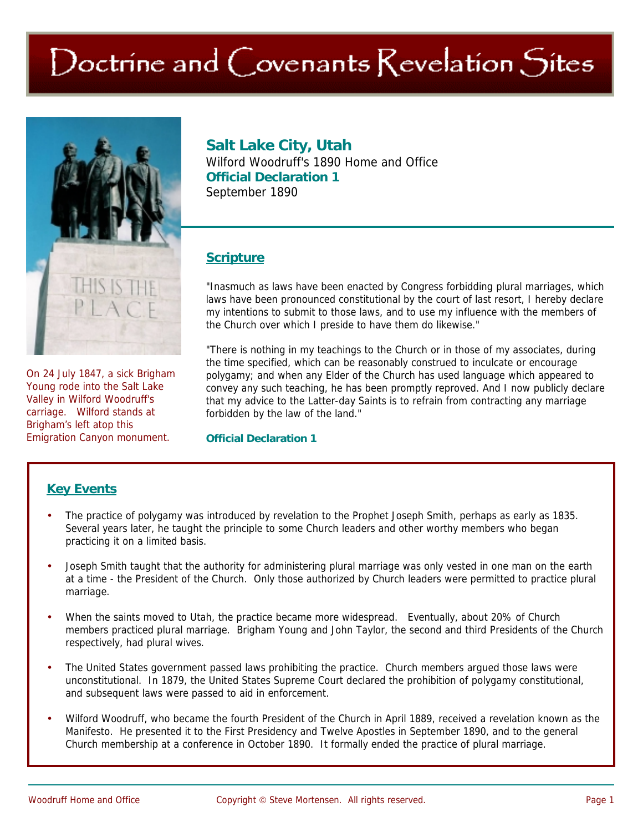# Doctrine and Covenants Revelation Sites



On 24 July 1847, a sick Brigham Young rode into the Salt Lake Valley in Wilford Woodruff's carriage. Wilford stands at Brigham's left atop this Emigration Canyon monument.

## **Salt Lake City, Utah**  Wilford Woodruff's 1890 Home and Office **Official Declaration 1**  September 1890

#### **Scripture**

"Inasmuch as laws have been enacted by Congress forbidding plural marriages, which laws have been pronounced constitutional by the court of last resort, I hereby declare my intentions to submit to those laws, and to use my influence with the members of the Church over which I preside to have them do likewise."

"There is nothing in my teachings to the Church or in those of my associates, during the time specified, which can be reasonably construed to inculcate or encourage polygamy; and when any Elder of the Church has used language which appeared to convey any such teaching, he has been promptly reproved. And I now publicly declare that my advice to the Latter-day Saints is to refrain from contracting any marriage forbidden by the law of the land."

**Official Declaration 1** 

## **Key Events**

- The practice of polygamy was introduced by revelation to the Prophet Joseph Smith, perhaps as early as 1835. Several years later, he taught the principle to some Church leaders and other worthy members who began practicing it on a limited basis.
- Joseph Smith taught that the authority for administering plural marriage was only vested in one man on the earth at a time - the President of the Church. Only those authorized by Church leaders were permitted to practice plural marriage.
- When the saints moved to Utah, the practice became more widespread. Eventually, about 20% of Church members practiced plural marriage. Brigham Young and John Taylor, the second and third Presidents of the Church respectively, had plural wives.
- The United States government passed laws prohibiting the practice. Church members argued those laws were unconstitutional. In 1879, the United States Supreme Court declared the prohibition of polygamy constitutional, and subsequent laws were passed to aid in enforcement.
- Wilford Woodruff, who became the fourth President of the Church in April 1889, received a revelation known as the Manifesto. He presented it to the First Presidency and Twelve Apostles in September 1890, and to the general Church membership at a conference in October 1890. It formally ended the practice of plural marriage.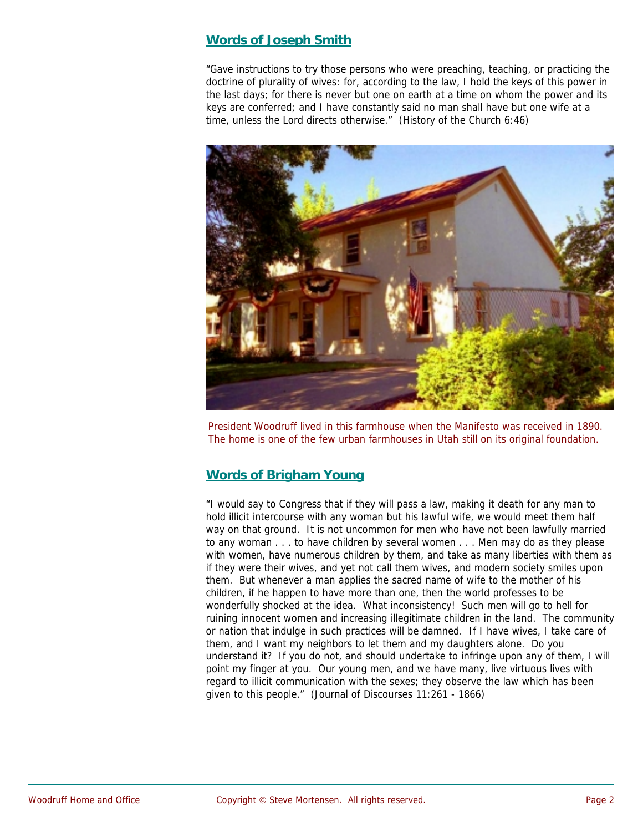#### **Words of Joseph Smith**

"Gave instructions to try those persons who were preaching, teaching, or practicing the doctrine of plurality of wives: for, according to the law, I hold the keys of this power in the last days; for there is never but one on earth at a time on whom the power and its keys are conferred; and I have constantly said no man shall have but one wife at a time, unless the Lord directs otherwise." (History of the Church 6:46)



President Woodruff lived in this farmhouse when the Manifesto was received in 1890. The home is one of the few urban farmhouses in Utah still on its original foundation.

## **Words of Brigham Young**

"I would say to Congress that if they will pass a law, making it death for any man to hold illicit intercourse with any woman but his lawful wife, we would meet them half way on that ground. It is not uncommon for men who have not been lawfully married to any woman . . . to have children by several women . . . Men may do as they please with women, have numerous children by them, and take as many liberties with them as if they were their wives, and yet not call them wives, and modern society smiles upon them. But whenever a man applies the sacred name of wife to the mother of his children, if he happen to have more than one, then the world professes to be wonderfully shocked at the idea. What inconsistency! Such men will go to hell for ruining innocent women and increasing illegitimate children in the land. The community or nation that indulge in such practices will be damned. If I have wives, I take care of them, and I want my neighbors to let them and my daughters alone. Do you understand it? If you do not, and should undertake to infringe upon any of them, I will point my finger at you. Our young men, and we have many, live virtuous lives with regard to illicit communication with the sexes; they observe the law which has been given to this people." (Journal of Discourses 11:261 - 1866)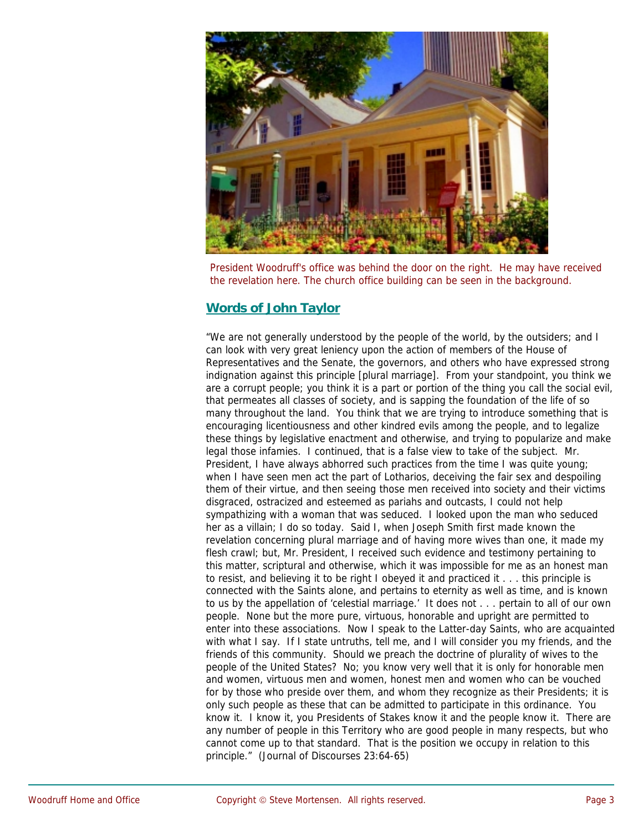

President Woodruff's office was behind the door on the right. He may have received the revelation here. The church office building can be seen in the background.

## **Words of John Taylor**

"We are not generally understood by the people of the world, by the outsiders; and I can look with very great leniency upon the action of members of the House of Representatives and the Senate, the governors, and others who have expressed strong indignation against this principle [plural marriage]. From your standpoint, you think we are a corrupt people; you think it is a part or portion of the thing you call the social evil, that permeates all classes of society, and is sapping the foundation of the life of so many throughout the land. You think that we are trying to introduce something that is encouraging licentiousness and other kindred evils among the people, and to legalize these things by legislative enactment and otherwise, and trying to popularize and make legal those infamies. I continued, that is a false view to take of the subject. Mr. President, I have always abhorred such practices from the time I was quite young; when I have seen men act the part of Lotharios, deceiving the fair sex and despoiling them of their virtue, and then seeing those men received into society and their victims disgraced, ostracized and esteemed as pariahs and outcasts, I could not help sympathizing with a woman that was seduced. I looked upon the man who seduced her as a villain; I do so today. Said I, when Joseph Smith first made known the revelation concerning plural marriage and of having more wives than one, it made my flesh crawl; but, Mr. President, I received such evidence and testimony pertaining to this matter, scriptural and otherwise, which it was impossible for me as an honest man to resist, and believing it to be right I obeyed it and practiced it . . . this principle is connected with the Saints alone, and pertains to eternity as well as time, and is known to us by the appellation of 'celestial marriage.' It does not . . . pertain to all of our own people. None but the more pure, virtuous, honorable and upright are permitted to enter into these associations. Now I speak to the Latter-day Saints, who are acquainted with what I say. If I state untruths, tell me, and I will consider you my friends, and the friends of this community. Should we preach the doctrine of plurality of wives to the people of the United States? No; you know very well that it is only for honorable men and women, virtuous men and women, honest men and women who can be vouched for by those who preside over them, and whom they recognize as their Presidents; it is only such people as these that can be admitted to participate in this ordinance. You know it. I know it, you Presidents of Stakes know it and the people know it. There are any number of people in this Territory who are good people in many respects, but who cannot come up to that standard. That is the position we occupy in relation to this principle." (Journal of Discourses 23:64-65)